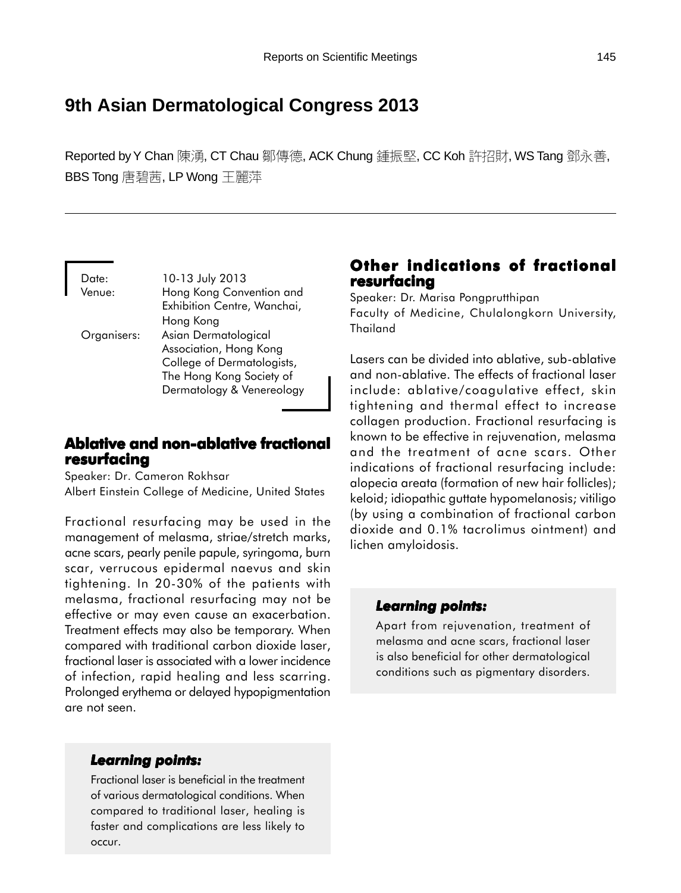# **9th Asian Dermatological Congress 2013**

Reported by Y Chan 陳湧, CT Chau 鄒傳德, ACK Chung 鍾振堅, CC Koh 許招財, WS Tang 鄧永善, BBS Tong 唐碧茜, LP Wong 王麗萍

Date: 10-13 July 2013 Venue: Hong Kong Convention and Exhibition Centre, Wanchai, Hong Kong Organisers: Asian Dermatological Association, Hong Kong College of Dermatologists, The Hong Kong Society of Dermatology & Venereology

# **Ablative and non-ablative fractional Ablative and non-ablative resurfacing**

Speaker: Dr. Cameron Rokhsar Albert Einstein College of Medicine, United States

Fractional resurfacing may be used in the management of melasma, striae/stretch marks, acne scars, pearly penile papule, syringoma, burn scar, verrucous epidermal naevus and skin tightening. In 20-30% of the patients with melasma, fractional resurfacing may not be effective or may even cause an exacerbation. Treatment effects may also be temporary. When compared with traditional carbon dioxide laser, fractional laser is associated with a lower incidence of infection, rapid healing and less scarring. Prolonged erythema or delayed hypopigmentation are not seen.

### *Learning points: Learning*

Fractional laser is beneficial in the treatment of various dermatological conditions. When compared to traditional laser, healing is faster and complications are less likely to occur.

# **Other indications of fractional indications fractional resurfacing**

Speaker: Dr. Marisa Pongprutthipan Faculty of Medicine, Chulalongkorn University, Thailand

Lasers can be divided into ablative, sub-ablative and non-ablative. The effects of fractional laser include: ablative/coagulative effect, skin tightening and thermal effect to increase collagen production. Fractional resurfacing is known to be effective in rejuvenation, melasma and the treatment of acne scars. Other indications of fractional resurfacing include: alopecia areata (formation of new hair follicles); keloid; idiopathic guttate hypomelanosis; vitiligo (by using a combination of fractional carbon dioxide and 0.1% tacrolimus ointment) and lichen amyloidosis.

### *Learning points: Learning points:*

Apart from rejuvenation, treatment of melasma and acne scars, fractional laser is also beneficial for other dermatological conditions such as pigmentary disorders.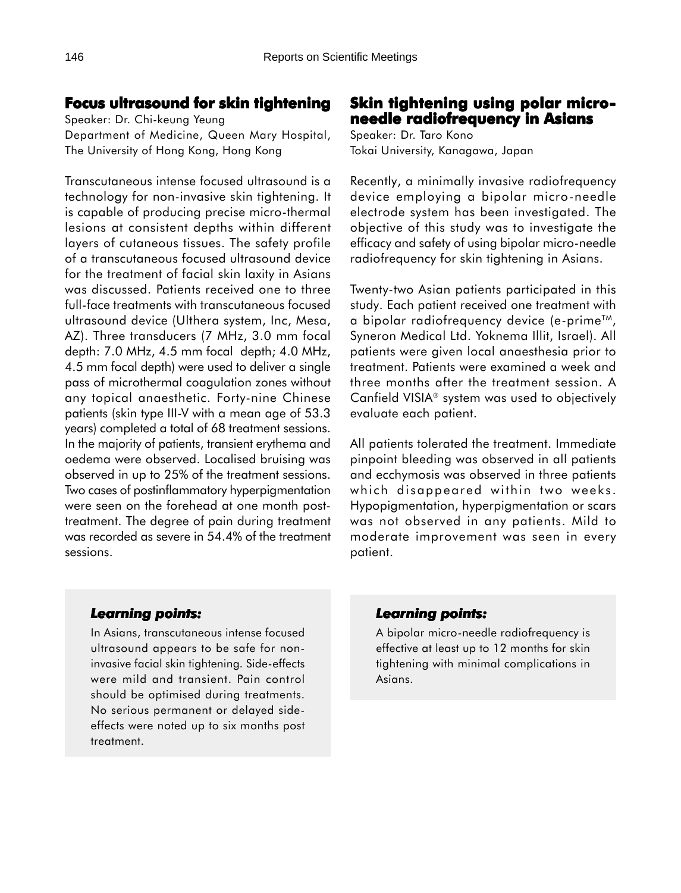### **Focus ultrasound for skin tightening**

Speaker: Dr. Chi-keung Yeung Department of Medicine, Queen Mary Hospital, The University of Hong Kong, Hong Kong

Transcutaneous intense focused ultrasound is a technology for non-invasive skin tightening. It is capable of producing precise micro-thermal lesions at consistent depths within different layers of cutaneous tissues. The safety profile of a transcutaneous focused ultrasound device for the treatment of facial skin laxity in Asians was discussed. Patients received one to three full-face treatments with transcutaneous focused ultrasound device (Ulthera system, Inc, Mesa, AZ). Three transducers (7 MHz, 3.0 mm focal depth: 7.0 MHz, 4.5 mm focal depth; 4.0 MHz, 4.5 mm focal depth) were used to deliver a single pass of microthermal coagulation zones without any topical anaesthetic. Forty-nine Chinese patients (skin type III-V with a mean age of 53.3 years) completed a total of 68 treatment sessions. In the majority of patients, transient erythema and oedema were observed. Localised bruising was observed in up to 25% of the treatment sessions. Two cases of postinflammatory hyperpigmentation were seen on the forehead at one month posttreatment. The degree of pain during treatment was recorded as severe in 54.4% of the treatment sessions.

### **Skin tightening using polar microneedle radiofrequency in Asians**

Speaker: Dr. Taro Kono Tokai University, Kanagawa, Japan

Recently, a minimally invasive radiofrequency device employing a bipolar micro-needle electrode system has been investigated. The objective of this study was to investigate the efficacy and safety of using bipolar micro-needle radiofrequency for skin tightening in Asians.

Twenty-two Asian patients participated in this study. Each patient received one treatment with a bipolar radiofrequency device (e-primeTM, Syneron Medical Ltd. Yoknema Illit, Israel). All patients were given local anaesthesia prior to treatment. Patients were examined a week and three months after the treatment session. A Canfield VISIA<sup>®</sup> system was used to objectively evaluate each patient.

All patients tolerated the treatment. Immediate pinpoint bleeding was observed in all patients and ecchymosis was observed in three patients which disappeared within two weeks. Hypopigmentation, hyperpigmentation or scars was not observed in any patients. Mild to moderate improvement was seen in every patient.

### *Learning points: Learning*

In Asians, transcutaneous intense focused ultrasound appears to be safe for noninvasive facial skin tightening. Side-effects were mild and transient. Pain control should be optimised during treatments. No serious permanent or delayed sideeffects were noted up to six months post treatment.

### *Learning points: Learning points:*

A bipolar micro-needle radiofrequency is effective at least up to 12 months for skin tightening with minimal complications in Asians.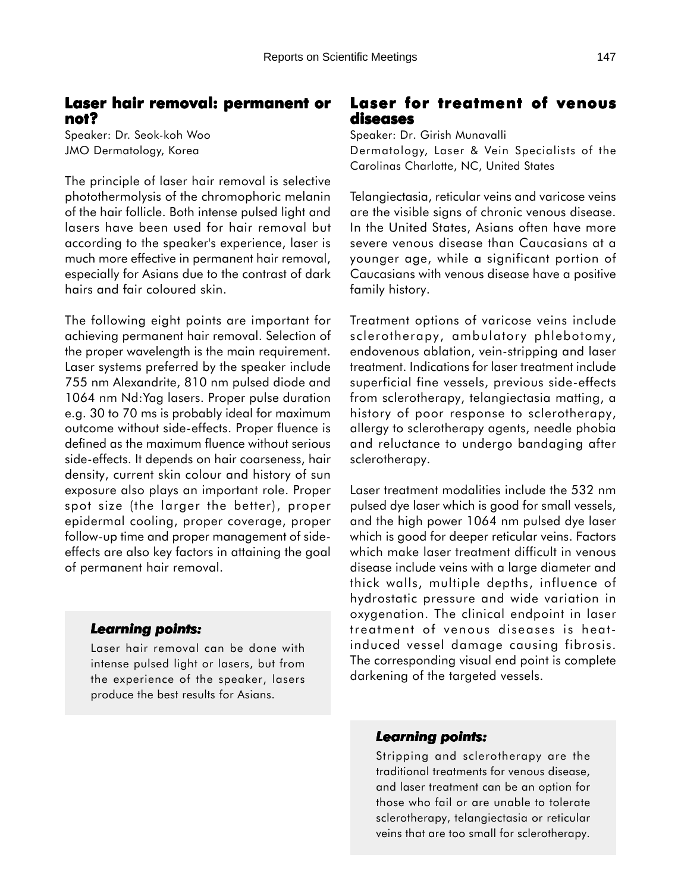### **Laser hair removal: permanent or not?**

Speaker: Dr. Seok-koh Woo JMO Dermatology, Korea

The principle of laser hair removal is selective photothermolysis of the chromophoric melanin of the hair follicle. Both intense pulsed light and lasers have been used for hair removal but according to the speaker's experience, laser is much more effective in permanent hair removal, especially for Asians due to the contrast of dark hairs and fair coloured skin.

The following eight points are important for achieving permanent hair removal. Selection of the proper wavelength is the main requirement. Laser systems preferred by the speaker include 755 nm Alexandrite, 810 nm pulsed diode and 1064 nm Nd:Yag lasers. Proper pulse duration e.g. 30 to 70 ms is probably ideal for maximum outcome without side-effects. Proper fluence is defined as the maximum fluence without serious side-effects. It depends on hair coarseness, hair density, current skin colour and history of sun exposure also plays an important role. Proper spot size (the larger the better), proper epidermal cooling, proper coverage, proper follow-up time and proper management of sideeffects are also key factors in attaining the goal of permanent hair removal.

#### *Learning points: Learning*

Laser hair removal can be done with intense pulsed light or lasers, but from the experience of the speaker, lasers produce the best results for Asians.

### **Laser for treatment of venous diseases**

Speaker: Dr. Girish Munavalli Dermatology, Laser & Vein Specialists of the Carolinas Charlotte, NC, United States

Telangiectasia, reticular veins and varicose veins are the visible signs of chronic venous disease. In the United States, Asians often have more severe venous disease than Caucasians at a younger age, while a significant portion of Caucasians with venous disease have a positive family history.

Treatment options of varicose veins include sclerotherapy, ambulatory phlebotomy, endovenous ablation, vein-stripping and laser treatment. Indications for laser treatment include superficial fine vessels, previous side-effects from sclerotherapy, telangiectasia matting, a history of poor response to sclerotherapy, allergy to sclerotherapy agents, needle phobia and reluctance to undergo bandaging after sclerotherapy.

Laser treatment modalities include the 532 nm pulsed dye laser which is good for small vessels, and the high power 1064 nm pulsed dye laser which is good for deeper reticular veins. Factors which make laser treatment difficult in venous disease include veins with a large diameter and thick walls, multiple depths, influence of hydrostatic pressure and wide variation in oxygenation. The clinical endpoint in laser treatment of venous diseases is heatinduced vessel damage causing fibrosis. The corresponding visual end point is complete darkening of the targeted vessels.

#### *Learning points: Learning points:*

Stripping and sclerotherapy are the traditional treatments for venous disease, and laser treatment can be an option for those who fail or are unable to tolerate sclerotherapy, telangiectasia or reticular veins that are too small for sclerotherapy.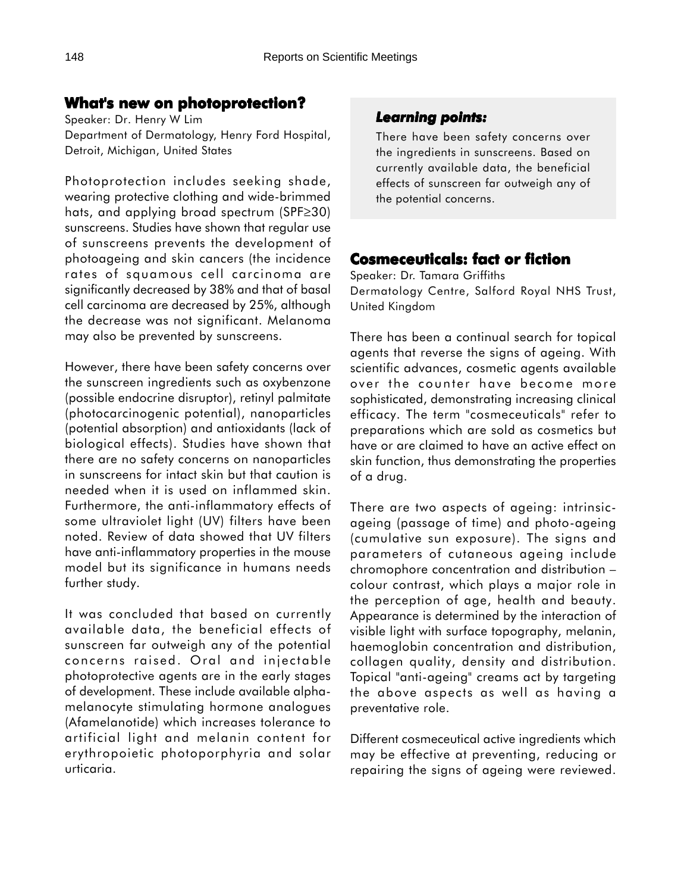# **What's new on photoprotection?**

Speaker: Dr. Henry W Lim Department of Dermatology, Henry Ford Hospital, Detroit, Michigan, United States

Photoprotection includes seeking shade, wearing protective clothing and wide-brimmed hats, and applying broad spectrum (SPF≥30) sunscreens. Studies have shown that regular use of sunscreens prevents the development of photoageing and skin cancers (the incidence rates of squamous cell carcinoma are significantly decreased by 38% and that of basal cell carcinoma are decreased by 25%, although the decrease was not significant. Melanoma may also be prevented by sunscreens.

However, there have been safety concerns over the sunscreen ingredients such as oxybenzone (possible endocrine disruptor), retinyl palmitate (photocarcinogenic potential), nanoparticles (potential absorption) and antioxidants (lack of biological effects). Studies have shown that there are no safety concerns on nanoparticles in sunscreens for intact skin but that caution is needed when it is used on inflammed skin. Furthermore, the anti-inflammatory effects of some ultraviolet light (UV) filters have been noted. Review of data showed that UV filters have anti-inflammatory properties in the mouse model but its significance in humans needs further study.

It was concluded that based on currently available data, the beneficial effects of sunscreen far outweigh any of the potential concerns raised. Oral and injectable photoprotective agents are in the early stages of development. These include available alphamelanocyte stimulating hormone analogues (Afamelanotide) which increases tolerance to artificial light and melanin content for erythropoietic photoporphyria and solar urticaria.

# *Learning points: Learning points:*

There have been safety concerns over the ingredients in sunscreens. Based on currently available data, the beneficial effects of sunscreen far outweigh any of the potential concerns.

# **Cosmeceuticals: fact or fiction**

Speaker: Dr. Tamara Griffiths Dermatology Centre, Salford Royal NHS Trust, United Kingdom

There has been a continual search for topical agents that reverse the signs of ageing. With scientific advances, cosmetic agents available over the counter have become more sophisticated, demonstrating increasing clinical efficacy. The term "cosmeceuticals" refer to preparations which are sold as cosmetics but have or are claimed to have an active effect on skin function, thus demonstrating the properties of a drug.

There are two aspects of ageing: intrinsicageing (passage of time) and photo-ageing (cumulative sun exposure). The signs and parameters of cutaneous ageing include chromophore concentration and distribution – colour contrast, which plays a major role in the perception of age, health and beauty. Appearance is determined by the interaction of visible light with surface topography, melanin, haemoglobin concentration and distribution, collagen quality, density and distribution. Topical "anti-ageing" creams act by targeting the above aspects as well as having a preventative role.

Different cosmeceutical active ingredients which may be effective at preventing, reducing or repairing the signs of ageing were reviewed.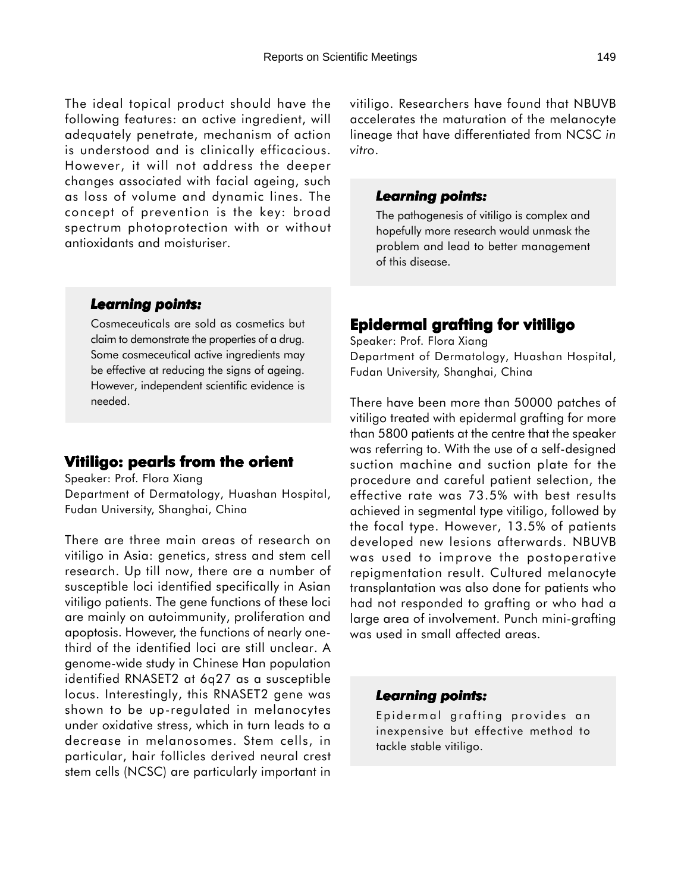The ideal topical product should have the following features: an active ingredient, will adequately penetrate, mechanism of action is understood and is clinically efficacious. However, it will not address the deeper changes associated with facial ageing, such as loss of volume and dynamic lines. The concept of prevention is the key: broad spectrum photoprotection with or without antioxidants and moisturiser.

#### *Learning points: Learning*

Cosmeceuticals are sold as cosmetics but claim to demonstrate the properties of a drug. Some cosmeceutical active ingredients may be effective at reducing the signs of ageing. However, independent scientific evidence is needed.

### **Vitiligo: pearls from the orient Vitiligo: pearls from the orient**

Speaker: Prof. Flora Xiang Department of Dermatology, Huashan Hospital, Fudan University, Shanghai, China

There are three main areas of research on vitiligo in Asia: genetics, stress and stem cell research. Up till now, there are a number of susceptible loci identified specifically in Asian vitiligo patients. The gene functions of these loci are mainly on autoimmunity, proliferation and apoptosis. However, the functions of nearly onethird of the identified loci are still unclear. A genome-wide study in Chinese Han population identified RNASET2 at 6q27 as a susceptible locus. Interestingly, this RNASET2 gene was shown to be up-regulated in melanocytes under oxidative stress, which in turn leads to a decrease in melanosomes. Stem cells, in particular, hair follicles derived neural crest stem cells (NCSC) are particularly important in

vitiligo. Researchers have found that NBUVB accelerates the maturation of the melanocyte lineage that have differentiated from NCSC *in vitro*.

#### *Learning points: Learning points:*

The pathogenesis of vitiligo is complex and hopefully more research would unmask the problem and lead to better management of this disease.

# **Epidermal grafting for vitiligo**

Speaker: Prof. Flora Xiang Department of Dermatology, Huashan Hospital, Fudan University, Shanghai, China

There have been more than 50000 patches of vitiligo treated with epidermal grafting for more than 5800 patients at the centre that the speaker was referring to. With the use of a self-designed suction machine and suction plate for the procedure and careful patient selection, the effective rate was 73.5% with best results achieved in segmental type vitiligo, followed by the focal type. However, 13.5% of patients developed new lesions afterwards. NBUVB was used to improve the postoperative repigmentation result. Cultured melanocyte transplantation was also done for patients who had not responded to grafting or who had a large area of involvement. Punch mini-grafting was used in small affected areas.

### *Learning points: Learning points:*

Epidermal grafting provides an inexpensive but effective method to tackle stable vitiligo.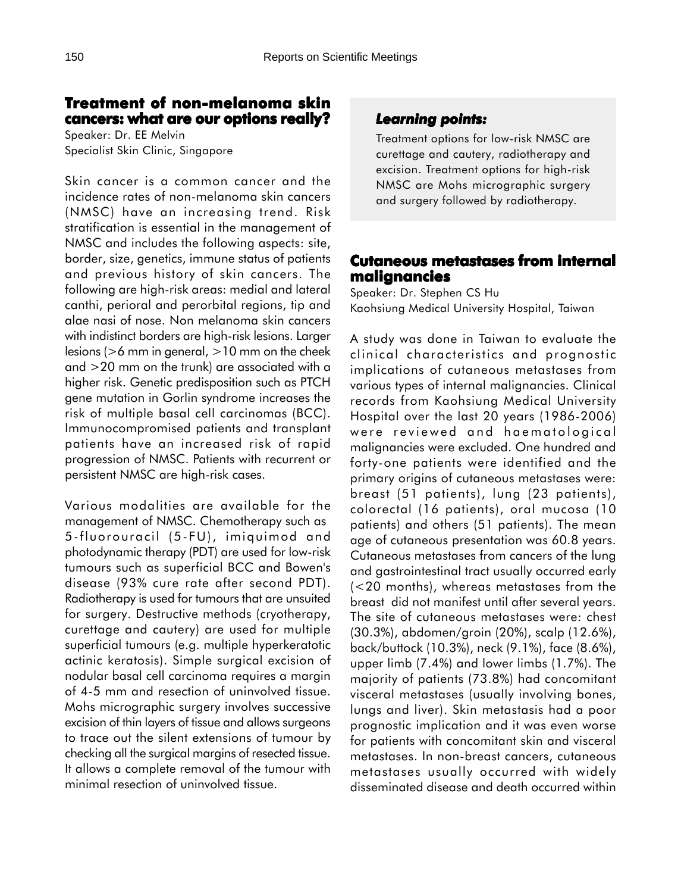# **Treatment of non-melanoma skin cancers: what are our options really?**

Speaker: Dr. EE Melvin Specialist Skin Clinic, Singapore

Skin cancer is a common cancer and the incidence rates of non-melanoma skin cancers (NMSC) have an increasing trend. Risk stratification is essential in the management of NMSC and includes the following aspects: site, border, size, genetics, immune status of patients and previous history of skin cancers. The following are high-risk areas: medial and lateral canthi, perioral and perorbital regions, tip and alae nasi of nose. Non melanoma skin cancers with indistinct borders are high-risk lesions. Larger lesions (>6 mm in general, >10 mm on the cheek and >20 mm on the trunk) are associated with a higher risk. Genetic predisposition such as PTCH gene mutation in Gorlin syndrome increases the risk of multiple basal cell carcinomas (BCC). Immunocompromised patients and transplant patients have an increased risk of rapid progression of NMSC. Patients with recurrent or persistent NMSC are high-risk cases.

Various modalities are available for the management of NMSC. Chemotherapy such as 5-fluorouracil (5-FU), imiquimod and photodynamic therapy (PDT) are used for low-risk tumours such as superficial BCC and Bowen's disease (93% cure rate after second PDT). Radiotherapy is used for tumours that are unsuited for surgery. Destructive methods (cryotherapy, curettage and cautery) are used for multiple superficial tumours (e.g. multiple hyperkeratotic actinic keratosis). Simple surgical excision of nodular basal cell carcinoma requires a margin of 4-5 mm and resection of uninvolved tissue. Mohs micrographic surgery involves successive excision of thin layers of tissue and allows surgeons to trace out the silent extensions of tumour by checking all the surgical margins of resected tissue. It allows a complete removal of the tumour with minimal resection of uninvolved tissue.

### *Learning points: Learning points:*

Treatment options for low-risk NMSC are curettage and cautery, radiotherapy and excision. Treatment options for high-risk NMSC are Mohs micrographic surgery and surgery followed by radiotherapy.

### **Cutaneous metastases from internal metastases from internal malignancies**

Speaker: Dr. Stephen CS Hu Kaohsiung Medical University Hospital, Taiwan

A study was done in Taiwan to evaluate the clinical characteristics and prognostic implications of cutaneous metastases from various types of internal malignancies. Clinical records from Kaohsiung Medical University Hospital over the last 20 years (1986-2006) were reviewed and haematological malignancies were excluded. One hundred and forty-one patients were identified and the primary origins of cutaneous metastases were: breast (51 patients), lung (23 patients), colorectal (16 patients), oral mucosa (10 patients) and others (51 patients). The mean age of cutaneous presentation was 60.8 years. Cutaneous metastases from cancers of the lung and gastrointestinal tract usually occurred early (<20 months), whereas metastases from the breast did not manifest until after several years. The site of cutaneous metastases were: chest (30.3%), abdomen/groin (20%), scalp (12.6%), back/buttock (10.3%), neck (9.1%), face (8.6%), upper limb (7.4%) and lower limbs (1.7%). The majority of patients (73.8%) had concomitant visceral metastases (usually involving bones, lungs and liver). Skin metastasis had a poor prognostic implication and it was even worse for patients with concomitant skin and visceral metastases. In non-breast cancers, cutaneous metastases usually occurred with widely disseminated disease and death occurred within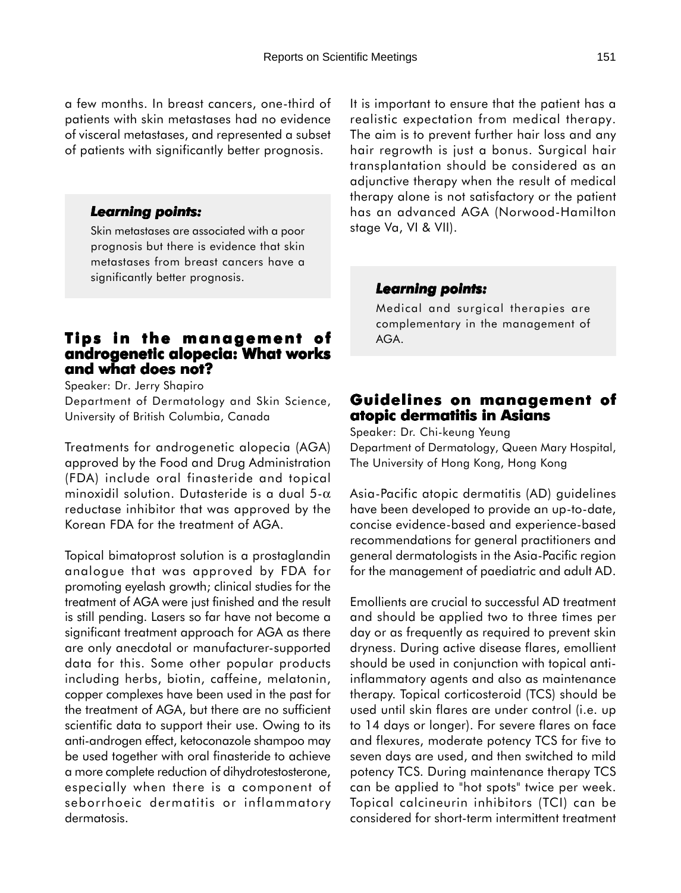a few months. In breast cancers, one-third of patients with skin metastases had no evidence of visceral metastases, and represented a subset of patients with significantly better prognosis.

#### *Learning points: Learning*

Skin metastases are associated with a poor prognosis but there is evidence that skin metastases from breast cancers have a significantly better prognosis.

### **Tips in the management of Tips management of androgenetic alopecia: What works and what does not?**

Speaker: Dr. Jerry Shapiro Department of Dermatology and Skin Science, University of British Columbia, Canada

Treatments for androgenetic alopecia (AGA) approved by the Food and Drug Administration (FDA) include oral finasteride and topical minoxidil solution. Dutasteride is a dual  $5-\alpha$ reductase inhibitor that was approved by the Korean FDA for the treatment of AGA.

Topical bimatoprost solution is a prostaglandin analogue that was approved by FDA for promoting eyelash growth; clinical studies for the treatment of AGA were just finished and the result is still pending. Lasers so far have not become a significant treatment approach for AGA as there are only anecdotal or manufacturer-supported data for this. Some other popular products including herbs, biotin, caffeine, melatonin, copper complexes have been used in the past for the treatment of AGA, but there are no sufficient scientific data to support their use. Owing to its anti-androgen effect, ketoconazole shampoo may be used together with oral finasteride to achieve a more complete reduction of dihydrotestosterone, especially when there is a component of seborrhoeic dermatitis or inflammatory dermatosis.

It is important to ensure that the patient has a realistic expectation from medical therapy. The aim is to prevent further hair loss and any hair regrowth is just a bonus. Surgical hair transplantation should be considered as an adjunctive therapy when the result of medical therapy alone is not satisfactory or the patient has an advanced AGA (Norwood-Hamilton stage Va, VI & VII).

#### *Learning points: Learning points:*

Medical and surgical therapies are complementary in the management of AGA.

### **Guidelines on management of of atopic dermatitis in Asians**

Speaker: Dr. Chi-keung Yeung Department of Dermatology, Queen Mary Hospital, The University of Hong Kong, Hong Kong

Asia-Pacific atopic dermatitis (AD) guidelines have been developed to provide an up-to-date, concise evidence-based and experience-based recommendations for general practitioners and general dermatologists in the Asia-Pacific region for the management of paediatric and adult AD.

Emollients are crucial to successful AD treatment and should be applied two to three times per day or as frequently as required to prevent skin dryness. During active disease flares, emollient should be used in conjunction with topical antiinflammatory agents and also as maintenance therapy. Topical corticosteroid (TCS) should be used until skin flares are under control (i.e. up to 14 days or longer). For severe flares on face and flexures, moderate potency TCS for five to seven days are used, and then switched to mild potency TCS. During maintenance therapy TCS can be applied to "hot spots" twice per week. Topical calcineurin inhibitors (TCI) can be considered for short-term intermittent treatment